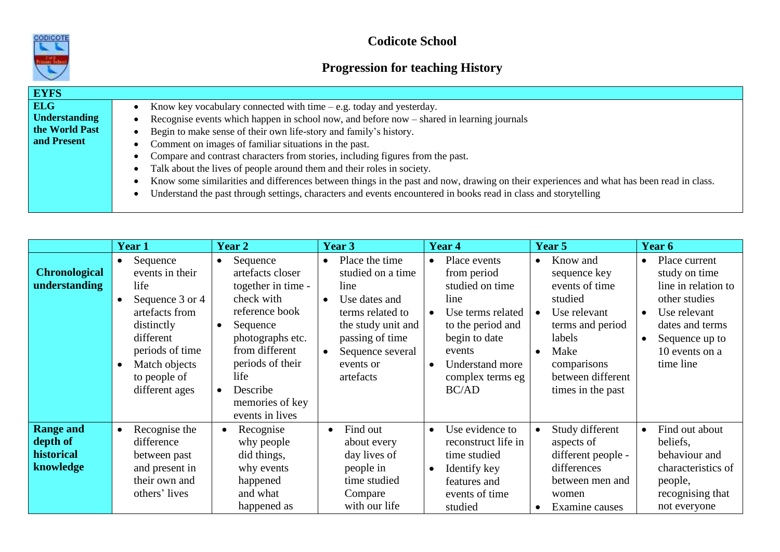

**Codicote School**

## **Progression for teaching History**

| <b>EYFS</b>                                                         |                                                                                                                                                                                                                                                                                                                                                                                                                                                                                                                                                                                                                                                                                                                            |
|---------------------------------------------------------------------|----------------------------------------------------------------------------------------------------------------------------------------------------------------------------------------------------------------------------------------------------------------------------------------------------------------------------------------------------------------------------------------------------------------------------------------------------------------------------------------------------------------------------------------------------------------------------------------------------------------------------------------------------------------------------------------------------------------------------|
| <b>ELG</b><br><b>Understanding</b><br>the World Past<br>and Present | Know key vocabulary connected with time $-e.g.$ today and yesterday.<br>Recognise events which happen in school now, and before now – shared in learning journals<br>Begin to make sense of their own life-story and family's history.<br>Comment on images of familiar situations in the past.<br>Compare and contrast characters from stories, including figures from the past.<br>Talk about the lives of people around them and their roles in society.<br>Know some similarities and differences between things in the past and now, drawing on their experiences and what has been read in class.<br>Understand the past through settings, characters and events encountered in books read in class and storytelling |

|                                                         | Year 1                                                                                                                                                                                                           | Year 2                                                                                                                                                                                                                          | Year 3                                                                                                                                                                                            | Year 4                                                                                                                                                                                                             | Year 5                                                                                                                                                                                                      | Year 6                                                                                                                                                                                            |
|---------------------------------------------------------|------------------------------------------------------------------------------------------------------------------------------------------------------------------------------------------------------------------|---------------------------------------------------------------------------------------------------------------------------------------------------------------------------------------------------------------------------------|---------------------------------------------------------------------------------------------------------------------------------------------------------------------------------------------------|--------------------------------------------------------------------------------------------------------------------------------------------------------------------------------------------------------------------|-------------------------------------------------------------------------------------------------------------------------------------------------------------------------------------------------------------|---------------------------------------------------------------------------------------------------------------------------------------------------------------------------------------------------|
| <b>Chronological</b><br>understanding                   | Sequence<br>$\bullet$<br>events in their<br>life<br>Sequence 3 or 4<br>$\bullet$<br>artefacts from<br>distinctly<br>different<br>periods of time<br>Match objects<br>$\bullet$<br>to people of<br>different ages | Sequence<br>$\bullet$<br>artefacts closer<br>together in time -<br>check with<br>reference book<br>Sequence<br>photographs etc.<br>from different<br>periods of their<br>life<br>Describe<br>memories of key<br>events in lives | Place the time<br>$\bullet$<br>studied on a time<br>line<br>Use dates and<br>$\bullet$<br>terms related to<br>the study unit and<br>passing of time<br>Sequence several<br>events or<br>artefacts | Place events<br>$\bullet$<br>from period<br>studied on time<br>line<br>Use terms related<br>$\bullet$<br>to the period and<br>begin to date<br>events<br>Understand more<br>$\bullet$<br>complex terms eg<br>BC/AD | Know and<br>$\bullet$<br>sequence key<br>events of time<br>studied<br>Use relevant<br>$\bullet$<br>terms and period<br>labels<br>Make<br>$\bullet$<br>comparisons<br>between different<br>times in the past | Place current<br>$\bullet$<br>study on time<br>line in relation to<br>other studies<br>Use relevant<br>$\bullet$<br>dates and terms<br>Sequence up to<br>$\bullet$<br>10 events on a<br>time line |
| <b>Range and</b><br>depth of<br>historical<br>knowledge | Recognise the<br>$\bullet$<br>difference<br>between past<br>and present in<br>their own and<br>others' lives                                                                                                     | Recognise<br>$\bullet$<br>why people<br>did things,<br>why events<br>happened<br>and what<br>happened as                                                                                                                        | Find out<br>$\bullet$<br>about every<br>day lives of<br>people in<br>time studied<br>Compare<br>with our life                                                                                     | Use evidence to<br>$\bullet$<br>reconstruct life in<br>time studied<br>Identify key<br>features and<br>events of time<br>studied                                                                                   | Study different<br>$\bullet$<br>aspects of<br>different people -<br>differences<br>between men and<br>women<br>Examine causes<br>$\bullet$                                                                  | Find out about<br>$\bullet$<br>beliefs,<br>behaviour and<br>characteristics of<br>people,<br>recognising that<br>not everyone                                                                     |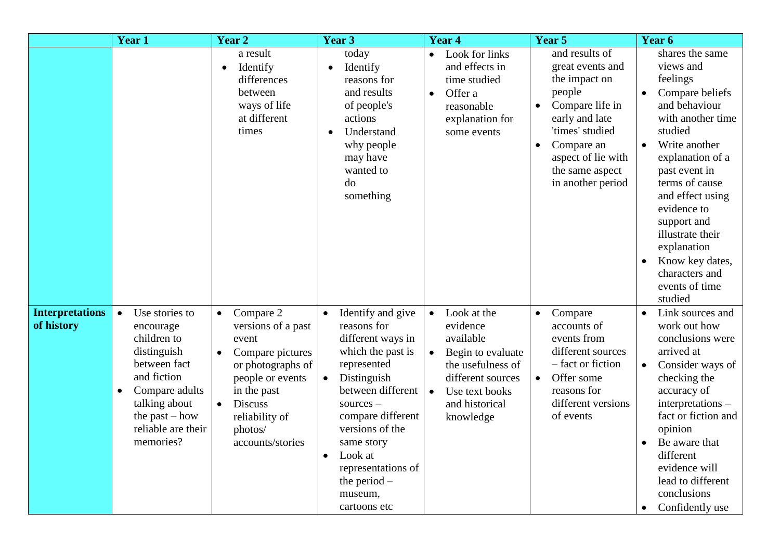|                                      | Year 1                                                                                                                                                                                                       | <b>Year 2</b>                                                                                                                                                                                                                  | Year 3                                                                                                                                                                                                                                                                                                     | Year 4                                                                                                                                                                                      | Year 5                                                                                                                                                                                                         | Year 6                                                                                                                                                                                                                                                                                                                                                                             |
|--------------------------------------|--------------------------------------------------------------------------------------------------------------------------------------------------------------------------------------------------------------|--------------------------------------------------------------------------------------------------------------------------------------------------------------------------------------------------------------------------------|------------------------------------------------------------------------------------------------------------------------------------------------------------------------------------------------------------------------------------------------------------------------------------------------------------|---------------------------------------------------------------------------------------------------------------------------------------------------------------------------------------------|----------------------------------------------------------------------------------------------------------------------------------------------------------------------------------------------------------------|------------------------------------------------------------------------------------------------------------------------------------------------------------------------------------------------------------------------------------------------------------------------------------------------------------------------------------------------------------------------------------|
|                                      |                                                                                                                                                                                                              | a result<br>Identify<br>$\bullet$<br>differences<br>between<br>ways of life<br>at different<br>times                                                                                                                           | today<br>Identify<br>reasons for<br>and results<br>of people's<br>actions<br>Understand<br>why people<br>may have<br>wanted to<br>do<br>something                                                                                                                                                          | Look for links<br>$\bullet$<br>and effects in<br>time studied<br>Offer a<br>$\bullet$<br>reasonable<br>explanation for<br>some events                                                       | and results of<br>great events and<br>the impact on<br>people<br>Compare life in<br>early and late<br>'times' studied<br>Compare an<br>$\bullet$<br>aspect of lie with<br>the same aspect<br>in another period | shares the same<br>views and<br>feelings<br>Compare beliefs<br>$\bullet$<br>and behaviour<br>with another time<br>studied<br>Write another<br>$\bullet$<br>explanation of a<br>past event in<br>terms of cause<br>and effect using<br>evidence to<br>support and<br>illustrate their<br>explanation<br>Know key dates,<br>$\bullet$<br>characters and<br>events of time<br>studied |
| <b>Interpretations</b><br>of history | Use stories to<br>$\bullet$<br>encourage<br>children to<br>distinguish<br>between fact<br>and fiction<br>Compare adults<br>$\bullet$<br>talking about<br>the past $-$ how<br>reliable are their<br>memories? | Compare 2<br>$\bullet$<br>versions of a past<br>event<br>Compare pictures<br>$\bullet$<br>or photographs of<br>people or events<br>in the past<br><b>Discuss</b><br>$\bullet$<br>reliability of<br>photos/<br>accounts/stories | Identify and give<br>$\bullet$<br>reasons for<br>different ways in<br>which the past is<br>represented<br>Distinguish<br>between different<br>$sources -$<br>compare different<br>versions of the<br>same story<br>Look at<br>$\bullet$<br>representations of<br>the period $-$<br>museum,<br>cartoons etc | Look at the<br>$\bullet$<br>evidence<br>available<br>Begin to evaluate<br>$\bullet$<br>the usefulness of<br>different sources<br>Use text books<br>$\bullet$<br>and historical<br>knowledge | Compare<br>$\bullet$<br>accounts of<br>events from<br>different sources<br>- fact or fiction<br>Offer some<br>$\bullet$<br>reasons for<br>different versions<br>of events                                      | Link sources and<br>$\bullet$<br>work out how<br>conclusions were<br>arrived at<br>Consider ways of<br>checking the<br>accuracy of<br>interpretations -<br>fact or fiction and<br>opinion<br>Be aware that<br>$\bullet$<br>different<br>evidence will<br>lead to different<br>conclusions<br>Confidently use<br>$\bullet$                                                          |